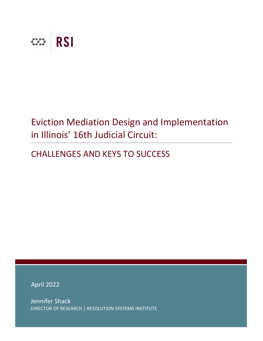

# Eviction Mediation Design and Implementation in Illinois' 16th Judicial Circuit:

# CHALLENGES AND KEYS TO SUCCESS

April 2022

Jennifer Shack DIRECTOR OF RESEARCH | RESOLUTION SYSTEMS INSTITUTE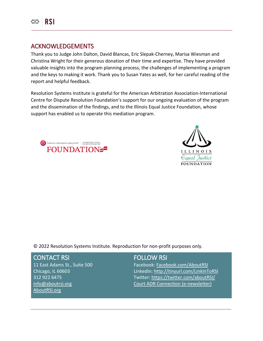

# ACKNOWLEDGEMENTS

Thank you to Judge John Dalton, David Blancas, Eric Slepak-Cherney, Marisa Wiesman and Christina Wright for their generous donation of their time and expertise. They have provided valuable insights into the program planning process, the challenges of implementing a program and the keys to making it work. Thank you to Susan Yates as well, for her careful reading of the report and helpful feedback.

Resolution Systems Institute is grateful for the American Arbitration Association-International Centre for Dispute Resolution Foundation's support for our ongoing evaluation of the program and the dissemination of the findings, and to the Illinois Equal Justice Foundation, whose support has enabled us to operate this mediation program.





© 2022 Resolution Systems Institute. Reproduction for non-profit purposes only.

### CONTACT RSI

11 East Adams St., Suite 500 Chicago, IL 60603 312 922 6475 [info@aboutrsi.org](mailto:info@aboutrsi.org) [AboutRSI.org](https://www.aboutrsi.org/)

# FOLLOW RSI

Facebook: [Facebook.com/AboutRSI](https://www.facebook.com/aboutRSI/) LinkedIn:<http://tinyurl.com/LinkInToRSI> Twitter[: https://twitter.com/aboutRSI/](https://twitter.com/aboutRSI/) [Court ADR Connection \(e-newsletter\)](https://www.aboutrsi.org/publications/court-adr-connection-newsletter)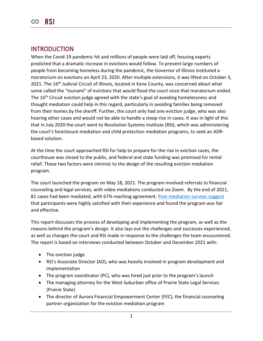# **INTRODUCTION**

When the Covid-19 pandemic hit and millions of people were laid off, housing experts predicted that a dramatic increase in evictions would follow. To prevent large numbers of people from becoming homeless during the pandemic, the Governor of Illinois instituted a moratorium on evictions on April 23, 2020. After multiple extensions, it was lifted on October 3, 2021. The 16<sup>th</sup> Judicial Circuit of Illinois, located in Kane County, was concerned about what some called the "tsunami" of evictions that would flood the court once that moratorium ended. The 16<sup>th</sup> Circuit eviction judge agreed with the state's goal of avoiding homelessness and thought mediation could help in this regard, particularly in avoiding families being removed from their homes by the sheriff. Further, the court only had one eviction judge, who was also hearing other cases and would not be able to handle a steep rise in cases. It was in light of this that in July 2020 the court went to Resolution Systems Institute (RSI), which was administering the court's foreclosure mediation and child protection mediation programs, to seek an ADRbased solution.

At the time the court approached RSI for help to prepare for the rise in eviction cases, the courthouse was closed to the public, and federal and state funding was promised for rental relief. These two factors were intrinsic to the design of the resulting eviction mediation program.

The court launched the program on May 18, 2021. The program involved referrals to financial counseling and legal services, with video mediations conducted via Zoom. By the end of 2021, 81 cases had been mediated, with 67% reaching agreement. [Post-mediation surveys suggest](https://s3.amazonaws.com/aboutrsi/591e30fc6e181e166ffd2eb0/Kane-Eviction-Survey-Summary---January-2022-FINAL-formatted.pdf) that participants were highly satisfied with their experience and found the program was fair and effective.

This report discusses the process of developing and implementing the program, as well as the reasons behind the program's design. It also lays out the challenges and successes experienced, as well as changes the court and RSI made in response to the challenges the team encountered. The report is based on interviews conducted between October and December 2021 with:

- The eviction judge
- RSI's Associate Director (AD), who was heavily involved in program development and implementation
- The program coordinator (PC), who was hired just prior to the program's launch
- The managing attorney for the West Suburban office of Prairie State Legal Services (Prairie State)
- The director of Aurora Financial Empowerment Center (FEC), the financial counseling partner organization for the eviction mediation program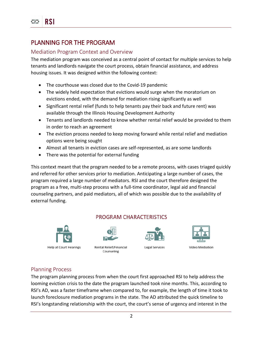# PLANNING FOR THE PROGRAM

# Mediation Program Context and Overview

The mediation program was conceived as a central point of contact for multiple services to help tenants and landlords navigate the court process, obtain financial assistance, and address housing issues. It was designed within the following context:

- The courthouse was closed due to the Covid-19 pandemic
- The widely held expectation that evictions would surge when the moratorium on evictions ended, with the demand for mediation rising significantly as well
- Significant rental relief (funds to help tenants pay their back and future rent) was available through the Illinois Housing Development Authority
- Tenants and landlords needed to know whether rental relief would be provided to them in order to reach an agreement
- The eviction process needed to keep moving forward while rental relief and mediation options were being sought
- Almost all tenants in eviction cases are self-represented, as are some landlords
- There was the potential for external funding

This context meant that the program needed to be a remote process, with cases triaged quickly and referred for other services prior to mediation. Anticipating a large number of cases, the program required a large number of mediators. RSI and the court therefore designed the program as a free, multi-step process with a full-time coordinator, legal aid and financial counseling partners, and paid mediators, all of which was possible due to the availability of external funding.

# **PROGRAM CHARACTERISTICS**





Rental Relief/Financial Counseling



**Legal Services** 



# Planning Process

The program planning process from when the court first approached RSI to help address the looming eviction crisis to the date the program launched took nine months. This, according to RSI's AD, was a faster timeframe when compared to, for example, the length of time it took to launch foreclosure mediation programs in the state. The AD attributed the quick timeline to RSI's longstanding relationship with the court, the court's sense of urgency and interest in the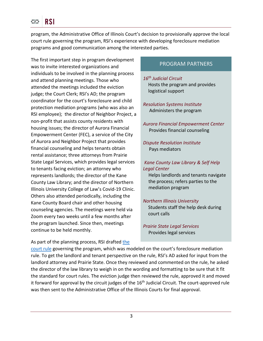program, the Administrative Office of Illinois Court's decision to provisionally approve the local court rule governing the program, RSI's experience with developing foreclosure mediation programs and good communication among the interested parties.

The first important step in program development was to invite interested organizations and individuals to be involved in the planning process and attend planning meetings. Those who attended the meetings included the eviction judge; the Court Clerk; RSI's AD; the program coordinator for the court's foreclosure and child protection mediation programs (who was also an RSI employee); the director of Neighbor Project, a non-profit that assists county residents with housing issues; the director of Aurora Financial Empowerment Center (FEC), a service of the City of Aurora and Neighbor Project that provides financial counseling and helps tenants obtain rental assistance; three attorneys from Prairie State Legal Services, which provides legal services to tenants facing eviction; an attorney who represents landlords; the director of the Kane County Law Library; and the director of Northern Illinois University College of Law's Covid-19 Clinic. Others also attended periodically, including the Kane County Board chair and other housing counseling agencies. The meetings were held via Zoom every two weeks until a few months after the program launched. Since then, meetings continue to be held monthly.

# PROGRAM PARTNERS

*16th Judicial Circuit* Hosts the program and provides logistical support

*Resolution Systems Institute* Administers the program

*Aurora Financial Empowerment Center* Provides financial counseling

*Dispute Resolution Institute* Pays mediators

*Kane County Law Library & Self Help Legal Center*

Helps landlords and tenants navigate the process; refers parties to the mediation program

*Northern Illinois University* Students staff the help desk during court calls

*Prairie State Legal Services* Provides legal services

As part of the planning process, RSI drafted [the](https://www.illinois16thjudicialcircuit.org/Documents/localCourtRules/Article_09A.pdf) 

[court rule](https://www.illinois16thjudicialcircuit.org/Documents/localCourtRules/Article_09A.pdf) governing the program, which was modeled on the court's foreclosure mediation rule. To get the landlord and tenant perspective on the rule, RSI's AD asked for input from the landlord attorney and Prairie State. Once they reviewed and commented on the rule, he asked the director of the law library to weigh in on the wording and formatting to be sure that it fit the standard for court rules. The eviction judge then reviewed the rule, approved it and moved it forward for approval by the circuit judges of the  $16<sup>th</sup>$  Judicial Circuit. The court-approved rule was then sent to the Administrative Office of the Illinois Courts for final approval.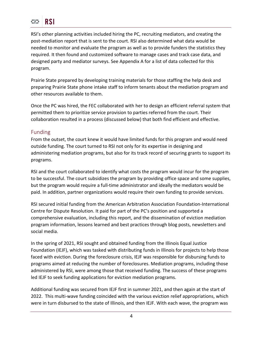RSI's other planning activities included hiring the PC, recruiting mediators, and creating the post-mediation report that is sent to the court. RSI also determined what data would be needed to monitor and evaluate the program as well as to provide funders the statistics they required. It then found and customized software to manage cases and track case data, and designed party and mediator surveys. See Appendix A for a list of data collected for this program.

Prairie State prepared by developing training materials for those staffing the help desk and preparing Prairie State phone intake staff to inform tenants about the mediation program and other resources available to them.

Once the PC was hired, the FEC collaborated with her to design an efficient referral system that permitted them to prioritize service provision to parties referred from the court. Their collaboration resulted in a process (discussed below) that both find efficient and effective.

# Funding

From the outset, the court knew it would have limited funds for this program and would need outside funding. The court turned to RSI not only for its expertise in designing and administering mediation programs, but also for its track record of securing grants to support its programs.

RSI and the court collaborated to identify what costs the program would incur for the program to be successful. The court subsidizes the program by providing office space and some supplies, but the program would require a full-time administrator and ideally the mediators would be paid. In addition, partner organizations would require their own funding to provide services.

RSI secured initial funding from the American Arbitration Association Foundation-International Centre for Dispute Resolution. It paid for part of the PC's position and supported a comprehensive evaluation, including this report, and the dissemination of eviction mediation program information, lessons learned and best practices through blog posts, newsletters and social media.

In the spring of 2021, RSI sought and obtained funding from the Illinois Equal Justice Foundation (IEJF), which was tasked with distributing funds in Illinois for projects to help those faced with eviction. During the foreclosure crisis, IEJF was responsible for disbursing funds to programs aimed at reducing the number of foreclosures. Mediation programs, including those administered by RSI, were among those that received funding. The success of these programs led IEJF to seek funding applications for eviction mediation programs.

Additional funding was secured from IEJF first in summer 2021, and then again at the start of 2022. This multi-wave funding coincided with the various eviction relief appropriations, which were in turn disbursed to the state of Illinois, and then IEJF. With each wave, the program was

4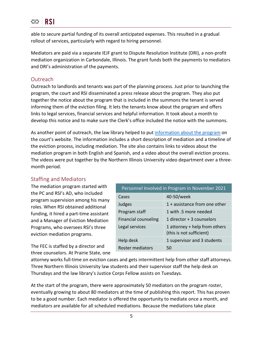

able to secure partial funding of its overall anticipated expenses. This resulted in a gradual rollout of services, particularly with regard to hiring personnel.

Mediators are paid via a separate IEJF grant to Dispute Resolution Institute (DRI), a non-profit mediation organization in Carbondale, Illinois. The grant funds both the payments to mediators and DRI's administration of the payments.

# **Outreach**

Outreach to landlords and tenants was part of the planning process. Just prior to launching the program, the court and RSI disseminated a press release about the program. They also put together the notice about the program that is included in the summons the tenant is served informing them of the eviction filing. It lets the tenants know about the program and offers links to legal services, financial services and helpful information. It took about a month to develop this notice and to make sure the Clerk's office included the notice with the summons.

As another point of outreach, the law library helped to put [information about the program](https://www.illinois16thjudicialcircuit.org/Pages/evictionmediation.aspx) on the court's website. The information includes a short description of mediation and a timeline of the eviction process, including mediation. The site also contains links to videos about the mediation program in both English and Spanish, and a video about the overall eviction process. The videos were put together by the Northern Illinois University video department over a threemonth period.

# Staffing and Mediators

The mediation program started with the PC and RSI's AD, who included program supervision among his many roles. When RSI obtained additional funding, it hired a part-time assistant and a Manager of Eviction Mediation Programs, who oversees RSI's three eviction mediation programs.

The FEC is staffed by a director and three counselors. At Prairie State, one

| Personnel Involved in Program in November 2021 |                                                           |  |
|------------------------------------------------|-----------------------------------------------------------|--|
| Cases                                          | 40-50/week                                                |  |
| Judges                                         | 1 + assistance from one other                             |  |
| Program staff                                  | 1 with .5 more needed                                     |  |
| <b>Financial counseling</b>                    | 1 director + 3 counselors                                 |  |
| Legal services                                 | 1 attorney + help from others<br>(this is not sufficient) |  |
| Help desk                                      | 1 supervisor and 3 students                               |  |
| <b>Roster mediators</b>                        | 50                                                        |  |

attorney works full-time on eviction cases and gets intermittent help from other staff attorneys. Three Northern Illinois University law students and their supervisor staff the help desk on Thursdays and the law library's Justice Corps Fellow assists on Tuesdays.

At the start of the program, there were approximately 50 mediators on the program roster, eventually growing to about 80 mediators at the time of publishing this report. This has proven to be a good number. Each mediator is offered the opportunity to mediate once a month, and mediators are available for all scheduled mediations. Because the mediations take place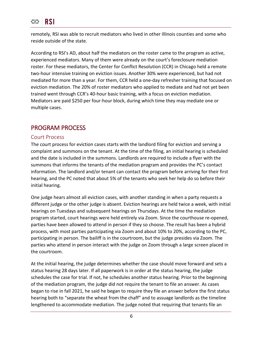remotely, RSI was able to recruit mediators who lived in other Illinois counties and some who reside outside of the state.

According to RSI's AD, about half the mediators on the roster came to the program as active, experienced mediators. Many of them were already on the court's foreclosure mediation roster. For these mediators, the Center for Conflict Resolution (CCR) in Chicago held a remote two-hour intensive training on eviction issues. Another 30% were experienced, but had not mediated for more than a year. For them, CCR held a one-day refresher training that focused on eviction mediation. The 20% of roster mediators who applied to mediate and had not yet been trained went through CCR's 40-hour basic training, with a focus on eviction mediation. Mediators are paid \$250 per four-hour block, during which time they may mediate one or multiple cases.

# PROGRAM PROCESS

## Court Process

The court process for eviction cases starts with the landlord filing for eviction and serving a complaint and summons on the tenant. At the time of the filing, an initial hearing is scheduled and the date is included in the summons. Landlords are required to include a flyer with the summons that informs the tenants of the mediation program and provides the PC's contact information. The landlord and/or tenant can contact the program before arriving for their first hearing, and the PC noted that about 5% of the tenants who seek her help do so before their initial hearing.

One judge hears almost all eviction cases, with another standing in when a party requests a different judge or the other judge is absent. Eviction hearings are held twice a week, with initial hearings on Tuesdays and subsequent hearings on Thursdays. At the time the mediation program started, court hearings were held entirely via Zoom. Since the courthouse re-opened, parties have been allowed to attend in person if they so choose. The result has been a hybrid process, with most parties participating via Zoom and about 10% to 20%, according to the PC, participating in person. The bailiff is in the courtroom, but the judge presides via Zoom. The parties who attend in person interact with the judge on Zoom through a large screen placed in the courtroom.

At the initial hearing, the judge determines whether the case should move forward and sets a status hearing 28 days later. If all paperwork is in order at the status hearing, the judge schedules the case for trial. If not, he schedules another status hearing. Prior to the beginning of the mediation program, the judge did not require the tenant to file an answer. As cases began to rise in fall 2021, he said he began to require they file an answer before the first status hearing both to "separate the wheat from the chaff" and to assuage landlords as the timeline lengthened to accommodate mediation. The judge noted that requiring that tenants file an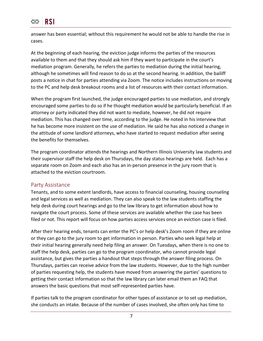

answer has been essential; without this requirement he would not be able to handle the rise in cases.

At the beginning of each hearing, the eviction judge informs the parties of the resources available to them and that they should ask him if they want to participate in the court's mediation program. Generally, he refers the parties to mediation during the initial hearing, although he sometimes will find reason to do so at the second hearing. In addition, the bailiff posts a notice in chat for parties attending via Zoom. The notice includes instructions on moving to the PC and help desk breakout rooms and a list of resources with their contact information.

When the program first launched, the judge encouraged parties to use mediation, and strongly encouraged some parties to do so if he thought mediation would be particularly beneficial. If an attorney or party indicated they did not want to mediate, however, he did not require mediation. This has changed over time, according to the judge. He noted in his interview that he has become more insistent on the use of mediation. He said he has also noticed a change in the attitude of some landlord attorneys, who have started to request mediation after seeing the benefits for themselves.

The program coordinator attends the hearings and Northern Illinois University law students and their supervisor staff the help desk on Thursdays, the day status hearings are held. Each has a separate room on Zoom and each also has an in-person presence in the jury room that is attached to the eviction courtroom.

### Party Assistance

Tenants, and to some extent landlords, have access to financial counseling, housing counseling and legal services as well as mediation. They can also speak to the law students staffing the help desk during court hearings and go to the law library to get information about how to navigate the court process. Some of these services are available whether the case has been filed or not. This report will focus on how parties access services once an eviction case is filed.

After their hearing ends, tenants can enter the PC's or help desk's Zoom room if they are online or they can go to the jury room to get information in person. Parties who seek legal help at their initial hearing generally need help filing an answer. On Tuesdays, when there is no one to staff the help desk, parties can go to the program coordinator, who cannot provide legal assistance, but gives the parties a handout that steps through the answer filing process. On Thursdays, parties can receive advice from the law students. However, due to the high number of parties requesting help, the students have moved from answering the parties' questions to getting their contact information so that the law library can later email them an FAQ that answers the basic questions that most self-represented parties have.

If parties talk to the program coordinator for other types of assistance or to set up mediation, she conducts an intake. Because of the number of cases involved, she often only has time to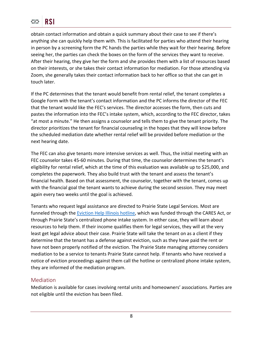obtain contact information and obtain a quick summary about their case to see if there's anything she can quickly help them with. This is facilitated for parties who attend their hearing in person by a screening form the PC hands the parties while they wait for their hearing. Before seeing her, the parties can check the boxes on the form of the services they want to receive. After their hearing, they give her the form and she provides them with a list of resources based on their interests, or she takes their contact information for mediation. For those attending via Zoom, she generally takes their contact information back to her office so that she can get in touch later.

If the PC determines that the tenant would benefit from rental relief, the tenant completes a Google Form with the tenant's contact information and the PC informs the director of the FEC that the tenant would like the FEC's services. The director accesses the form, then cuts and pastes the information into the FEC's intake system, which, according to the FEC director, takes "at most a minute." He then assigns a counselor and tells them to give the tenant priority. The director prioritizes the tenant for financial counseling in the hopes that they will know before the scheduled mediation date whether rental relief will be provided before mediation or the next hearing date.

The FEC can also give tenants more intensive services as well. Thus, the initial meeting with an FEC counselor takes 45-60 minutes. During that time, the counselor determines the tenant's eligibility for rental relief, which at the time of this evaluation was available up to \$25,000, and completes the paperwork. They also build trust with the tenant and assess the tenant's financial health. Based on that assessment, the counselor, together with the tenant, comes up with the financial goal the tenant wants to achieve during the second session. They may meet again every two weeks until the goal is achieved.

Tenants who request legal assistance are directed to Prairie State Legal Services. Most are funneled through the **Eviction Help Illinois hotline**, which was funded through the CARES Act, or through Prairie State's centralized phone intake system. In either case, they will learn about resources to help them. If their income qualifies them for legal services, they will at the very least get legal advice about their case. Prairie State will take the tenant on as a client if they determine that the tenant has a defense against eviction, such as they have paid the rent or have not been properly notified of the eviction. The Prairie State managing attorney considers mediation to be a service to tenants Prairie State cannot help. If tenants who have received a notice of eviction proceedings against them call the hotline or centralized phone intake system, they are informed of the mediation program.

# Mediation

Mediation is available for cases involving rental units and homeowners' associations. Parties are not eligible until the eviction has been filed.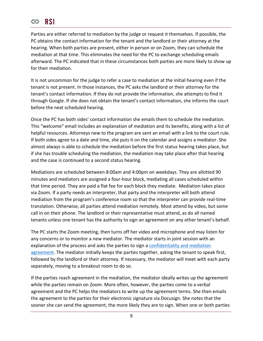Parties are either referred to mediation by the judge or request it themselves. If possible, the PC obtains the contact information for the tenant and the landlord or their attorney at the hearing. When both parties are present, either in person or on Zoom, they can schedule the mediation at that time. This eliminates the need for the PC to exchange scheduling emails afterward. The PC indicated that in these circumstances both parties are more likely to show up for their mediation.

It is not uncommon for the judge to refer a case to mediation at the initial hearing even if the tenant is not present. In those instances, the PC asks the landlord or their attorney for the tenant's contact information. If they do not provide the information, she attempts to find it through Google. If she does not obtain the tenant's contact information, she informs the court before the next scheduled hearing.

Once the PC has both sides' contact information she emails them to schedule the mediation. This "welcome" email includes an explanation of mediation and its benefits, along with a list of helpful resources. Attorneys new to the program are sent an email with a link to the court rule. If both sides agree to a date and time, she puts it on the calendar and assigns a mediator. She almost always is able to schedule the mediation before the first status hearing takes place, but if she has trouble scheduling the mediation, the mediation may take place after that hearing and the case is continued to a second status hearing.

Mediations are scheduled between 8:00am and 4:00pm on weekdays. They are allotted 90 minutes and mediators are assigned a four-hour block, mediating all cases scheduled within that time period. They are paid a flat fee for each block they mediate. Mediation takes place via Zoom. If a party needs an interpreter, that party and the interpreter will both attend mediation from the program's conference room so that the interpreter can provide real-time translation. Otherwise, all parties attend mediation remotely. Most attend by video, but some call in on their phone. The landlord or their representative must attend, as do all named tenants unless one tenant has the authority to sign an agreement on any other tenant's behalf.

The PC starts the Zoom meeting, then turns off her video and microphone and may listen for any concerns or to monitor a new mediator. The mediator starts in joint session with an explanation of the process and asks the parties to sign a [confidentiality and mediation](https://www.illinois16thjudicialcircuit.org/Documents/Confidentiality%20and%20mediation%20agreement.pdf)  [agreement.](https://www.illinois16thjudicialcircuit.org/Documents/Confidentiality%20and%20mediation%20agreement.pdf) The mediator initially keeps the parties together, asking the tenant to speak first, followed by the landlord or their attorney. If necessary, the mediator will meet with each party separately, moving to a breakout room to do so.

If the parties reach agreement in the mediation, the mediator ideally writes up the agreement while the parties remain on Zoom. More often, however, the parties come to a verbal agreement and the PC helps the mediators to write up the agreement terms. She then emails the agreement to the parties for their electronic signature via Docusign. She notes that the sooner she can send the agreement, the more likely they are to sign. When one or both parties

9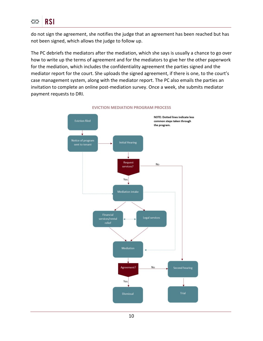

do not sign the agreement, she notifies the judge that an agreement has been reached but has not been signed, which allows the judge to follow up.

The PC debriefs the mediators after the mediation, which she says is usually a chance to go over how to write up the terms of agreement and for the mediators to give her the other paperwork for the mediation, which includes the confidentiality agreement the parties signed and the mediator report for the court. She uploads the signed agreement, if there is one, to the court's case management system, along with the mediator report. The PC also emails the parties an invitation to complete an online post-mediation survey. Once a week, she submits mediator payment requests to DRI.



#### **EVICTION MEDIATION PROGRAM PROCESS**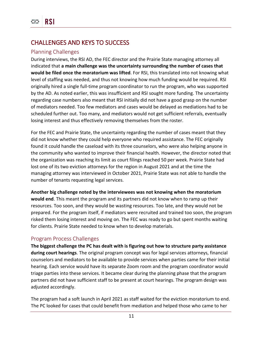# CHALLENGES AND KEYS TO SUCCESS

## Planning Challenges

During interviews, the RSI AD, the FEC director and the Prairie State managing attorney all indicated that **a main challenge was the uncertainty surrounding the number of cases that would be filed once the moratorium was lifted**. For RSI, this translated into not knowing what level of staffing was needed, and thus not knowing how much funding would be required. RSI originally hired a single full-time program coordinator to run the program, who was supported by the AD. As noted earlier, this was insufficient and RSI sought more funding. The uncertainty regarding case numbers also meant that RSI initially did not have a good grasp on the number of mediators needed. Too few mediators and cases would be delayed as mediations had to be scheduled further out. Too many, and mediators would not get sufficient referrals, eventually losing interest and thus effectively removing themselves from the roster.

For the FEC and Prairie State, the uncertainty regarding the number of cases meant that they did not know whether they could help everyone who required assistance. The FEC originally found it could handle the caseload with its three counselors, who were also helping anyone in the community who wanted to improve their financial health. However, the director noted that the organization was reaching its limit as court filings reached 50 per week. Prairie State had lost one of its two eviction attorneys for the region in August 2021 and at the time the managing attorney was interviewed in October 2021, Prairie State was not able to handle the number of tenants requesting legal services.

**Another big challenge noted by the interviewees was not knowing when the moratorium** 

**would end**. This meant the program and its partners did not know when to ramp up their resources. Too soon, and they would be wasting resources. Too late, and they would not be prepared. For the program itself, if mediators were recruited and trained too soon, the program risked them losing interest and moving on. The FEC was ready to go but spent months waiting for clients. Prairie State needed to know when to develop materials.

# Program Process Challenges

**The biggest challenge the PC has dealt with is figuring out how to structure party assistance during court hearings**. The original program concept was for legal services attorneys, financial counselors and mediators to be available to provide services when parties came for their initial hearing. Each service would have its separate Zoom room and the program coordinator would triage parties into these services. It became clear during the planning phase that the program partners did not have sufficient staff to be present at court hearings. The program design was adjusted accordingly.

The program had a soft launch in April 2021 as staff waited for the eviction moratorium to end. The PC looked for cases that could benefit from mediation and helped those who came to her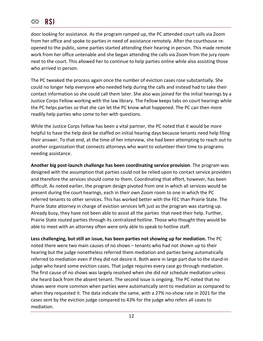door looking for assistance. As the program ramped up, the PC attended court calls via Zoom from her office and spoke to parties in need of assistance remotely. After the courthouse reopened to the public, some parties started attending their hearing in person. This made remote work from her office untenable and she began attending the calls via Zoom from the jury room next to the court. This allowed her to continue to help parties online while also assisting those who arrived in person.

The PC tweaked the process again once the number of eviction cases rose substantially. She could no longer help everyone who needed help during the calls and instead had to take their contact information so she could call them later. She also was joined for the initial hearings by a Justice Corps Fellow working with the law library. The Fellow keeps tabs on court hearings while the PC helps parties so that she can let the PC know what happened. The PC can then more readily help parties who come to her with questions.

While the Justice Corps Fellow has been a vital partner, the PC noted that it would be more helpful to have the help desk be staffed on initial hearing days because tenants need help filing their answer. To that end, at the time of her interview, she had been attempting to reach out to another organization that connects attorneys who want to volunteer their time to programs needing assistance.

**Another big post-launch challenge has been coordinating service provision**. The program was designed with the assumption that parties could not be relied upon to contact service providers and therefore the services should come to them. Coordinating that effort, however, has been difficult. As noted earlier, the program design pivoted from one in which all services would be present during the court hearings, each in their own Zoom room to one in which the PC referred tenants to other services. This has worked better with the FEC than Prairie State. The Prairie State attorney in charge of eviction services left just as the program was starting up. Already busy, they have not been able to assist all the parties that need their help. Further, Prairie State routed parties through its centralized hotline. Those who thought they would be able to meet with an attorney often were only able to speak to hotline staff.

**Less challenging, but still an issue, has been parties not showing up for mediation.** The PC noted there were two main causes of no shows – tenants who had not shown up to their hearing but the judge nonetheless referred them mediation and parties being automatically referred to mediation even if they did not desire it. Both were in large part due to the stand-in judge who heard some eviction cases. That judge requires every case go through mediation. The first cause of no shows was largely resolved when she did not schedule mediation unless she heard back from the absent tenant. The second issue is ongoing. The PC noted that no shows were more common when parties were automatically sent to mediation as compared to when they requested it. The data indicate the same, with a 27% no-show rate in 2021 for the cases sent by the eviction judge compared to 43% for the judge who refers all cases to mediation.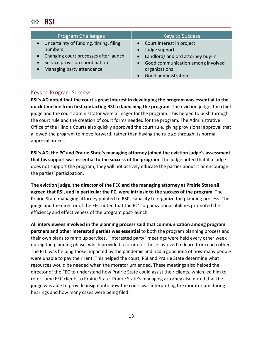| <b>Program Challenges</b>                                                                                                                                              | <b>Keys to Success</b>                                                                                                                             |
|------------------------------------------------------------------------------------------------------------------------------------------------------------------------|----------------------------------------------------------------------------------------------------------------------------------------------------|
| Uncertainty of funding, timing, filing<br>$\bullet$<br>numbers<br>Changing court processes after launch<br>Service provision coordination<br>Managing party attendance | Court interest in project<br>Judge support<br>Landlord/landlord attorney buy-in<br>$\bullet$<br>Good communication among involved<br>organizations |
|                                                                                                                                                                        | Good administration                                                                                                                                |

# Keys to Program Success

**RSI's AD noted that the court's great interest in developing the program was essential to the quick timeline from first contacting RSI to launching the program**. The eviction judge, the chief judge and the court administrator were all eager for the program. This helped to push through the court rule and the creation of court forms needed for the program. The Administrative Office of the Illinois Courts also quickly approved the court rule, giving provisional approval that allowed the program to move forward, rather than having the rule go through its normal approval process.

**RSI's AD, the PC and Prairie State's managing attorney joined the eviction judge's assessment that his support was essential to the success of the program**. The judge noted that if a judge does not support the program, they will not actively educate the parties about it or encourage the parties' participation.

**The eviction judge, the director of the FEC and the managing attorney at Prairie State all agreed that RSI, and in particular the PC, were intrinsic to the success of the program**. The Prairie State managing attorney pointed to RSI's capacity to organize the planning process. The judge and the director of the FEC noted that the PC's organizational abilities promoted the efficiency and effectiveness of the program post-launch.

**All interviewees involved in the planning process said that communication among program partners and other interested parties was essential** to both the program planning process and their own plans to ramp up services. "Interested party" meetings were held every other week during the planning phase, which provided a forum for those involved to learn from each other. The FEC was helping those impacted by the pandemic and had a good idea of how many people were unable to pay their rent. This helped the court, RSI and Prairie State determine what resources would be needed when the moratorium ended. These meetings also helped the director of the FEC to understand how Prairie State could assist their clients, which led him to refer some FEC clients to Prairie State. Prairie State's managing attorney also noted that the judge was able to provide insight into how the court was interpreting the moratorium during hearings and how many cases were being filed.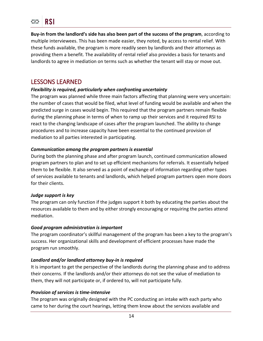**Buy-in from the landlord's side has also been part of the success of the program**, according to multiple interviewees. This has been made easier, they noted, by access to rental relief. With these funds available, the program is more readily seen by landlords and their attorneys as providing them a benefit. The availability of rental relief also provides a basis for tenants and landlords to agree in mediation on terms such as whether the tenant will stay or move out.

# LESSONS LEARNED

## *Flexibility is required, particularly when confronting uncertainty*

The program was planned while three main factors affecting that planning were very uncertain: the number of cases that would be filed, what level of funding would be available and when the predicted surge in cases would begin. This required that the program partners remain flexible during the planning phase in terms of when to ramp up their services and it required RSI to react to the changing landscape of cases after the program launched. The ability to change procedures and to increase capacity have been essential to the continued provision of mediation to all parties interested in participating.

### *Communication among the program partners is essential*

During both the planning phase and after program launch, continued communication allowed program partners to plan and to set up efficient mechanisms for referrals. It essentially helped them to be flexible. It also served as a point of exchange of information regarding other types of services available to tenants and landlords, which helped program partners open more doors for their clients.

### *Judge support is key*

The program can only function if the judges support it both by educating the parties about the resources available to them and by either strongly encouraging or requiring the parties attend mediation.

### *Good program administration is important*

The program coordinator's skillful management of the program has been a key to the program's success. Her organizational skills and development of efficient processes have made the program run smoothly.

### *Landlord and/or landlord attorney buy-in is required*

It is important to get the perspective of the landlords during the planning phase and to address their concerns. If the landlords and/or their attorneys do not see the value of mediation to them, they will not participate or, if ordered to, will not participate fully.

### *Provision of services is time-intensive*

The program was originally designed with the PC conducting an intake with each party who came to her during the court hearings, letting them know about the services available and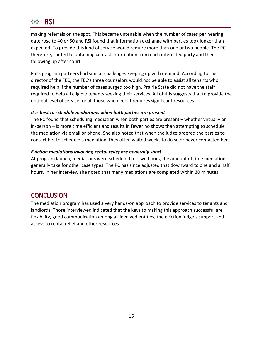making referrals on the spot. This became untenable when the number of cases per hearing date rose to 40 or 50 and RSI found that information exchange with parties took longer than expected. To provide this kind of service would require more than one or two people. The PC, therefore, shifted to obtaining contact information from each interested party and then following up after court.

RSI's program partners had similar challenges keeping up with demand. According to the director of the FEC, the FEC's three counselors would not be able to assist all tenants who required help if the number of cases surged too high. Prairie State did not have the staff required to help all eligible tenants seeking their services. All of this suggests that to provide the optimal level of service for all those who need it requires significant resources.

## *It is best to schedule mediations when both parties are present*

The PC found that scheduling mediation when both parties are present – whether virtually or in-person – is more time efficient and results in fewer no shows than attempting to schedule the mediation via email or phone. She also noted that when the judge ordered the parties to contact her to schedule a mediation, they often waited weeks to do so or never contacted her.

## *Eviction mediations involving rental relief are generally short*

At program launch, mediations were scheduled for two hours, the amount of time mediations generally take for other case types. The PC has since adjusted that downward to one and a half hours. In her interview she noted that many mediations are completed within 30 minutes.

# **CONCLUSION**

The mediation program has used a very hands-on approach to provide services to tenants and landlords. Those interviewed indicated that the keys to making this approach successful are flexibility, good communication among all involved entities, the eviction judge's support and access to rental relief and other resources.